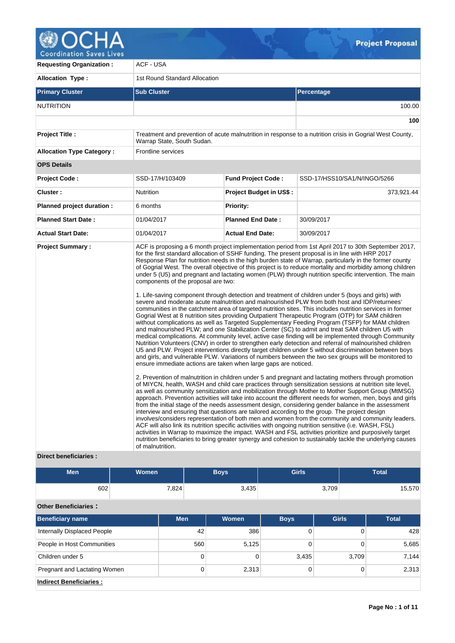

**Requesting Organization : | ACF - USA** Allocation Type : 1st Round Standard Allocation **Primary Cluster Sub Cluster Sub Cluster** Sub Cluster Sub Cluster Sub Cluster Sub Cluster Sub Cluster Sub Cluster NUTRITION 100.00 **100 Project Title :** Treatment and prevention of acute malnutrition in response to a nutrition crisis in Gogrial West County, Warrap State, South Sudan. Allocation Type Category : Frontline services **OPS Details Project Code :** SSD-17/H/103409 **Fund Project Code :** SSD-17/HSS10/SA1/N/INGO/5266 **Cluster :** 373,921.44 **Nutrition Project Budget in US\$ :** 373,921.44 **Planned project duration :** 6 months **Planned Priority: Planned Start Date :** 01/04/2017 **Planned End Date :** 30/09/2017 **Actual Start Date:** 01/04/2017 **Actual End Date:** 30/09/2017 **Project Summary :** ACF is proposing a 6 month project implementation period from 1st April 2017 to 30th September 2017, for the first standard allocation of SSHF funding. The present proposal is in line with HRP 2017 Response Plan for nutrition needs in the high burden state of Warrap, particularly in the former county of Gogrial West. The overall objective of this project is to reduce mortality and morbidity among children under 5 (U5) and pregnant and lactating women (PLW) through nutrition specific intervention. The main components of the proposal are two: 1. Life-saving component through detection and treatment of children under 5 (boys and girls) with severe and moderate acute malnutrition and malnourished PLW from both host and IDP/returnees' communities in the catchment area of targeted nutrition sites. This includes nutrition services in former Gogrial West at 8 nutrition sites providing Outpatient Therapeutic Program (OTP) for SAM children without complications as well as Targeted Supplementary Feeding Program (TSFP) for MAM children and malnourished PLW; and one Stabilization Center (SC) to admit and treat SAM children U5 with medical complications. At community level, active case finding will be implemented through Community Nutrition Volunteers (CNV) in order to strengthen early detection and referral of malnourished children U5 and PLW. Project interventions directly target children under 5 without discrimination between boys and girls, and vulnerable PLW. Variations of numbers between the two sex groups will be monitored to ensure immediate actions are taken when large gaps are noticed. 2. Prevention of malnutrition in children under 5 and pregnant and lactating mothers through promotion of MIYCN, health, WASH and child care practices through sensitization sessions at nutrition site level, as well as community sensitization and mobilization through Mother to Mother Support Group (MtMSG) approach. Prevention activities will take into account the different needs for women, men, boys and girls from the initial stage of the needs assessment design, considering gender balance in the assessment interview and ensuring that questions are tailored according to the group. The project design involves/considers representation of both men and women from the community and community leaders. ACF will also link its nutrition specific activities with ongoing nutrition sensitive (i.e. WASH, FSL) activities in Warrap to maximize the impact. WASH and FSL activities prioritize and purposively target nutrition beneficiaries to bring greater synergy and cohesion to sustainably tackle the underlying causes of malnutrition.

## **Direct beneficiaries :**

| Men | <b>Women</b> | <b>Boys</b> | <b>Girls</b> | <b>Total</b> |
|-----|--------------|-------------|--------------|--------------|
| 602 | 7,824        | 3,435       | 3,709        | 15,570       |

# **Other Beneficiaries :**

| <b>Beneficiary name</b>        | <b>Men</b> | <b>Women</b> | <b>Boys</b> | <b>Girls</b> | <b>Total</b> |
|--------------------------------|------------|--------------|-------------|--------------|--------------|
| Internally Displaced People    | 42         | 386          |             | 0            | 428          |
| People in Host Communities     | 560        | 5,125        |             | 0            | 5,685        |
| Children under 5               | 0          |              | 3,435       | 3,709        | 7,144        |
| Pregnant and Lactating Women   | 0          | 2,313        |             | 0            | 2,313        |
| <b>Indirect Beneficiaries:</b> |            |              |             |              |              |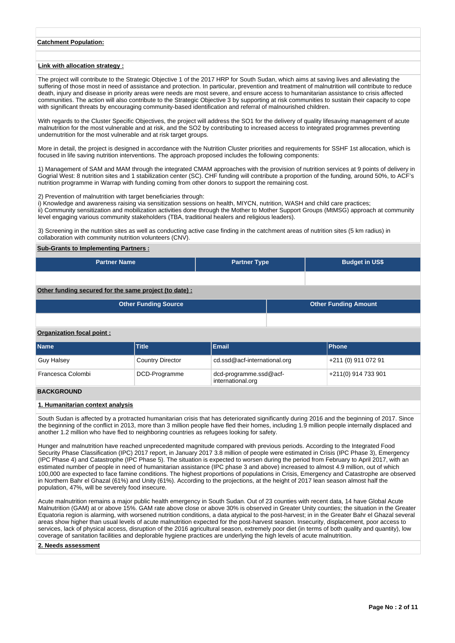## **Catchment Population:**

### **Link with allocation strategy :**

The project will contribute to the Strategic Objective 1 of the 2017 HRP for South Sudan, which aims at saving lives and alleviating the suffering of those most in need of assistance and protection. In particular, prevention and treatment of malnutrition will contribute to reduce death, injury and disease in priority areas were needs are most severe, and ensure access to humanitarian assistance to crisis affected communities. The action will also contribute to the Strategic Objective 3 by supporting at risk communities to sustain their capacity to cope with significant threats by encouraging community-based identification and referral of malnourished children.

With regards to the Cluster Specific Objectives, the project will address the SO1 for the delivery of quality lifesaving management of acute malnutrition for the most vulnerable and at risk, and the SO2 by contributing to increased access to integrated programmes preventing undernutrition for the most vulnerable and at risk target groups.

More in detail, the project is designed in accordance with the Nutrition Cluster priorities and requirements for SSHF 1st allocation, which is focused in life saving nutrition interventions. The approach proposed includes the following components:

1) Management of SAM and MAM through the integrated CMAM approaches with the provision of nutrition services at 9 points of delivery in Gogrial West: 8 nutrition sites and 1 stabilization center (SC). CHF funding will contribute a proportion of the funding, around 50%, to ACF's nutrition programme in Warrap with funding coming from other donors to support the remaining cost.

2) Prevention of malnutrition with target beneficiaries through:

i) Knowledge and awareness raising via sensitization sessions on health, MIYCN, nutrition, WASH and child care practices;

ii) Community sensitization and mobilization activities done through the Mother to Mother Support Groups (MtMSG) approach at community level engaging various community stakeholders (TBA, traditional healers and religious leaders).

3) Screening in the nutrition sites as well as conducting active case finding in the catchment areas of nutrition sites (5 km radius) in collaboration with community nutrition volunteers (CNV).

## **Sub-Grants to Implementing Partners :**

| <b>Partner Name</b> | <b>Partner Type</b> | <b>Budget in US\$</b> |
|---------------------|---------------------|-----------------------|
|                     |                     |                       |

### **Other funding secured for the same project (to date) :**

| <b>Other Funding Source</b> | <b>Other Funding Amount</b> |
|-----------------------------|-----------------------------|
|                             |                             |

## **Organization focal point :**

| <b>Name</b>       | <b>Title</b>            | Email                                              | <b>IPhone</b>        |
|-------------------|-------------------------|----------------------------------------------------|----------------------|
| <b>Guy Halsey</b> | <b>Country Director</b> | cd.ssd@acf-international.org                       | +211 (0) 911 072 91  |
| Francesca Colombi | DCD-Programme           | $dcd$ -programme.ssd $@act$ -<br>international.org | 1+211(0) 914 733 901 |

# **BACKGROUND**

## **1. Humanitarian context analysis**

South Sudan is affected by a protracted humanitarian crisis that has deteriorated significantly during 2016 and the beginning of 2017. Since the beginning of the conflict in 2013, more than 3 million people have fled their homes, including 1.9 million people internally displaced and another 1.2 million who have fled to neighboring countries as refugees looking for safety.

Hunger and malnutrition have reached unprecedented magnitude compared with previous periods. According to the Integrated Food Security Phase Classification (IPC) 2017 report, in January 2017 3.8 million of people were estimated in Crisis (IPC Phase 3), Emergency (IPC Phase 4) and Catastrophe (IPC Phase 5). The situation is expected to worsen during the period from February to April 2017, with an estimated number of people in need of humanitarian assistance (IPC phase 3 and above) increased to almost 4.9 million, out of which 100,000 are expected to face famine conditions. The highest proportions of populations in Crisis, Emergency and Catastrophe are observed in Northern Bahr el Ghazal (61%) and Unity (61%). According to the projections, at the height of 2017 lean season almost half the population, 47%, will be severely food insecure.

Acute malnutrition remains a major public health emergency in South Sudan. Out of 23 counties with recent data, 14 have Global Acute Malnutrition (GAM) at or above 15%. GAM rate above close or above 30% is observed in Greater Unity counties; the situation in the Greater Equatoria region is alarming, with worsened nutrition conditions, a data atypical to the post-harvest; in in the Greater Bahr el Ghazal several areas show higher than usual levels of acute malnutrition expected for the post-harvest season. Insecurity, displacement, poor access to services, lack of physical access, disruption of the 2016 agricultural season, extremely poor diet (in terms of both quality and quantity), low coverage of sanitation facilities and deplorable hygiene practices are underlying the high levels of acute malnutrition.

#### **2. Needs assessment**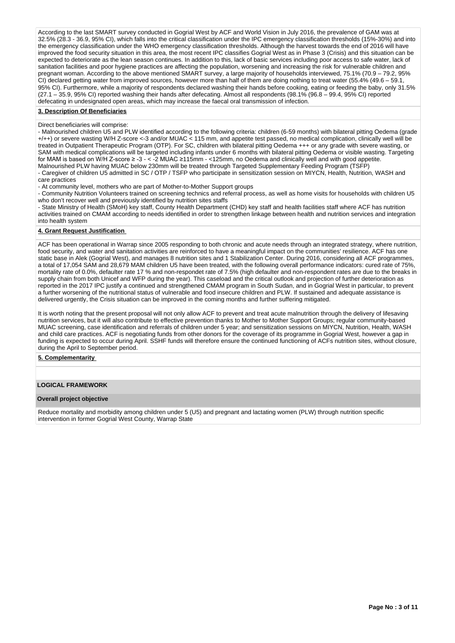According to the last SMART survey conducted in Gogrial West by ACF and World Vision in July 2016, the prevalence of GAM was at 32.5% (28.3 - 36.9, 95% CI), which falls into the critical classification under the IPC emergency classification thresholds (15%-30%) and into the emergency classification under the WHO emergency classification thresholds. Although the harvest towards the end of 2016 will have the emergency classification thresholds. Although the harvest towards the end of 2016 w improved the food security situation in this area, the most recent IPC classifies Gogrial West as in Phase 3 (Crisis) and this situation can be expected to deteriorate as the lean season continues. In addition to this, lack of basic services including poor access to safe water, lack of sanitation facilities and poor hygiene practices are affecting the population, worsening and increasing the risk for vulnerable children and pregnant woman. According to the above mentioned SMART survey, a large majority of households interviewed, 75.1% (70.9 – 79.2, 95% CI) declared getting water from improved sources, however more than half of them are doing nothing to treat water (55.4% (49.6 – 59.1, 95% CI). Furthermore, while a majority of respondents declared washing their hands before cooking, eating or feeding the baby, only 31.5% (27.1 – 35.9, 95% CI) reported washing their hands after defecating. Almost all respondents (98.1% (96.8 – 99.4, 95% CI) reported defecating in undesignated open areas, which may increase the faecal oral transmission of infection.

### **3. Description Of Beneficiaries**

### Direct beneficiaries will comprise:

- Malnourished children U5 and PLW identified according to the following criteria: children (6-59 months) with bilateral pitting Oedema (grade +/++) or severe wasting W/H Z-score <-3 and/or MUAC < 115 mm, and appetite test passed, no medical complication, clinically well will be treated in Outpatient Therapeutic Program (OTP). For SC, children with bilateral pitting Oedema +++ or any grade with severe wasting, or SAM with medical complications will be targeted including infants under 6 months with bilateral pitting Oedema or visible wasting. Targeting for MAM is based on W/H Z-score ≥ -3 - < -2 MUAC ≥115mm - <125mm, no Oedema and clinically well and with good appetite. Malnourished PLW having MUAC below 230mm will be treated through Targeted Supplementary Feeding Program (TSFP) - Caregiver of children U5 admitted in SC / OTP / TSFP who participate in sensitization session on MIYCN, Health, Nutrition, WASH and care practices

- At community level, mothers who are part of Mother-to-Mother Support groups

- Community Nutrition Volunteers trained on screening technics and referral process, as well as home visits for households with children U5 who don't recover well and previously identified by nutrition sites staffs

- State Ministry of Health (SMoH) key staff, County Health Department (CHD) key staff and health facilities staff where ACF has nutrition activities trained on CMAM according to needs identified in order to strengthen linkage between health and nutrition services and integration into health system

#### **4. Grant Request Justification**

ACF has been operational in Warrap since 2005 responding to both chronic and acute needs through an integrated strategy, where nutrition, food security, and water and sanitation activities are reinforced to have a meaningful impact on the communities' resilience. ACF has one static base in Alek (Gogrial West), and manages 8 nutrition sites and 1 Stabilization Center. During 2016, considering all ACF programmes, a total of 17,054 SAM and 28,679 MAM children U5 have been treated, with the following overall performance indicators: cured rate of 75%, mortality rate of 0.0%, defaulter rate 17 % and non-respondet rate of 7.5% (high defaulter and non-respondent rates are due to the breaks in supply chain from both Unicef and WFP during the year). This caseload and the critical outlook and projection of further deterioration as reported in the 2017 IPC justify a continued and strengthened CMAM program in South Sudan, and in Gogrial West in particular, to prevent a further worsening of the nutritional status of vulnerable and food insecure children and PLW. If sustained and adequate assistance is delivered urgently, the Crisis situation can be improved in the coming months and further suffering mitigated.

It is worth noting that the present proposal will not only allow ACF to prevent and treat acute malnutrition through the delivery of lifesaving nutrition services, but it will also contribute to effective prevention thanks to Mother to Mother Support Groups; regular community-based MUAC screening, case identification and referrals of children under 5 year; and sensitization sessions on MIYCN, Nutrition, Health, WASH and child care practices. ACF is negotiating funds from other donors for the coverage of its programme in Gogrial West, however a gap in funding is expected to occur during April. SSHF funds will therefore ensure the continued functioning of ACFs nutrition sites, without closure, during the April to September period.

#### **5. Complementarity**

## **LOGICAL FRAMEWORK**

### **Overall project objective**

Reduce mortality and morbidity among children under 5 (U5) and pregnant and lactating women (PLW) through nutrition specific intervention in former Gogrial West County, Warrap State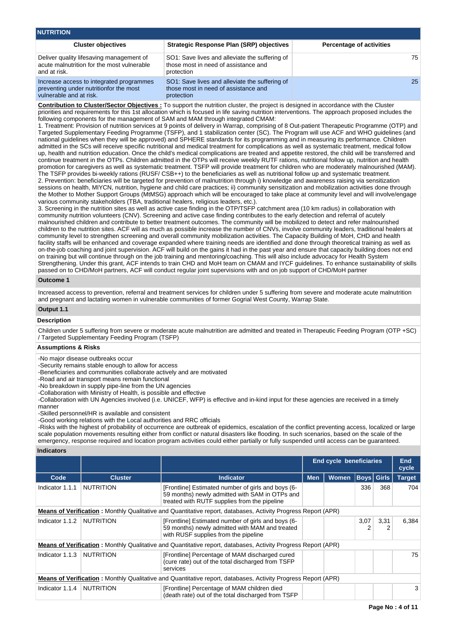| <b>NUTRITION</b>                                                                                              |                                                                                                      |                                 |  |  |  |  |  |  |  |  |
|---------------------------------------------------------------------------------------------------------------|------------------------------------------------------------------------------------------------------|---------------------------------|--|--|--|--|--|--|--|--|
| <b>Cluster objectives</b>                                                                                     | Strategic Response Plan (SRP) objectives                                                             | <b>Percentage of activities</b> |  |  |  |  |  |  |  |  |
| Deliver quality lifesaving management of<br>acute malnutrition for the most vulnerable<br>and at risk.        | SO1: Save lives and alleviate the suffering of<br>those most in need of assistance and<br>protection | 75                              |  |  |  |  |  |  |  |  |
| Increase access to integrated programmes<br>preventing under nutritionfor the most<br>vulnerable and at risk. | SO1: Save lives and alleviate the suffering of<br>those most in need of assistance and<br>protection | 25                              |  |  |  |  |  |  |  |  |

**Contribution to Cluster/Sector Objectives :** To support the nutrition cluster, the project is designed in accordance with the Cluster priorities and requirements for this 1st allocation which is focused in life saving nutrition interventions. The approach proposed includes the following components for the management of SAM and MAM through integrated CMAM:

1. Treatment: Provision of nutrition services at 9 points of delivery in Warrap, comprising of 8 Out-patient Therapeutic Programme (OTP) and Targeted Supplementary Feeding Programme (TSFP), and 1 stabilization center (SC). The Program will use ACF and WHO guidelines (and national guidelines when they will be approved) and SPHERE standards for its programming and in measuring its performance. Children admitted in the SCs will receive specific nutritional and medical treatment for complications as well as systematic treatment, medical follow up, health and nutrition education. Once the child's medical complications are treated and appetite restored, the child will be transferred and continue treatment in the OTPs. Children admitted in the OTPs will receive weekly RUTF rations, nutritional follow up, nutrition and health promotion for caregivers as well as systematic treatment. TSFP will provide treatment for children who are moderately malnourished (MAM). The TSFP provides bi-weekly rations (RUSF/ CSB++) to the beneficiaries as well as nutritional follow up and systematic treatment. 2. Prevention: beneficiaries will be targeted for prevention of malnutrition through i) knowledge and awareness raising via sensitization sessions on health, MIYCN, nutrition, hygiene and child care practices; ii) community sensitization and mobilization activities done through the Mother to Mother Support Groups (MtMSG) approach which will be encouraged to take place at community level and will involve/engage various community stakeholders (TBA, traditional healers, religious leaders, etc.).

3. Screening in the nutrition sites as well as active case finding in the OTP/TSFP catchment area (10 km radius) in collaboration with community nutrition volunteers (CNV). Screening and active case finding contributes to the early detection and referral of acutely malnourished children and contribute to better treatment outcomes. The community will be mobilized to detect and refer malnourished children to the nutrition sites. ACF will as much as possible increase the number of CNVs, involve community leaders, traditional healers at community level to strengthen screening and overall community mobilization activities. The Capacity Building of MoH, CHD and health facility staffs will be enhanced and coverage expanded where training needs are identified and done through theoretical training as well as on-the-job coaching and joint supervision. ACF will build on the gains it had in the past year and ensure that capacity building does not end on training but will continue through on the job training and mentoring/coaching. This will also include advocacy for Health System Strengthening. Under this grant, ACF intends to train CHD and MoH team on CMAM and IYCF guidelines. To enhance sustainability of skills passed on to CHD/MoH partners, ACF will conduct regular joint supervisions with and on job support of CHD/MoH partner

## **Outcome 1**

Increased access to prevention, referral and treatment services for children under 5 suffering from severe and moderate acute malnutrition and pregnant and lactating women in vulnerable communities of former Gogrial West County, Warrap State.

## **Output 1.1**

#### **Description**

Children under 5 suffering from severe or moderate acute malnutrition are admitted and treated in Therapeutic Feeding Program (OTP +SC) / Targeted Supplementary Feeding Program (TSFP)

# **Assumptions & Risks**

-No major disease outbreaks occur

-Security remains stable enough to allow for access

-Beneficiaries and communities collaborate actively and are motivated -Road and air transport means remain functional

-No breakdown in supply pipe-line from the UN agencies

-Collaboration with Ministry of Health, is possible and effective

-Collaboration with UN Agencies involved (i.e. UNICEF, WFP) is effective and in-kind input for these agencies are received in a timely manner

-Skilled personnel/HR is available and consistent

-Good working relations with the Local authorities and RRC officials

-Risks with the highest of probability of occurrence are outbreak of epidemics, escalation of the conflict preventing access, localized or large scale population movements resulting either from conflict or natural disasters like flooding. In such scenarios, based on the scale of the emergency, response required and location program activities could either partially or fully suspended until access can be guaranteed.

## **Indicators**

|                 |                  |                                                                                                                                                      | <b>End cycle beneficiaries</b>                  |  |      | End<br>cycle  |       |
|-----------------|------------------|------------------------------------------------------------------------------------------------------------------------------------------------------|-------------------------------------------------|--|------|---------------|-------|
| Code            | <b>Cluster</b>   | <b>Indicator</b>                                                                                                                                     | <b>Boys</b> Girls<br><b>Women</b><br><b>Men</b> |  |      | <b>Target</b> |       |
| Indicator 1.1.1 | <b>NUTRITION</b> | [Frontline] Estimated number of girls and boys (6-<br>59 months) newly admitted with SAM in OTPs and<br>treated with RUTF supplies from the pipeline |                                                 |  | 336  | 368           | 704   |
|                 |                  | <b>Means of Verification:</b> Monthly Qualitative and Quantitative report, databases, Activity Progress Report (APR)                                 |                                                 |  |      |               |       |
| Indicator 1.1.2 | NUTRITION        | [Frontline] Estimated number of girls and boys (6-<br>59 months) newly admitted with MAM and treated<br>with RUSF supplies from the pipeline         |                                                 |  | 3,07 | 3,31          | 6,384 |
|                 |                  | <b>Means of Verification</b> : Monthly Qualitative and Quantitative report, databases, Activity Progress Report (APR)                                |                                                 |  |      |               |       |
| Indicator 1.1.3 | NUTRITION        | [Frontline] Percentage of MAM discharged cured<br>(cure rate) out of the total discharged from TSFP<br>services                                      |                                                 |  |      |               | 75    |
|                 |                  | <b>Means of Verification:</b> Monthly Qualitative and Quantitative report, databases, Activity Progress Report (APR)                                 |                                                 |  |      |               |       |
| Indicator 1.1.4 | NUTRITION        | [Frontline] Percentage of MAM children died<br>(death rate) out of the total discharged from TSFP                                                    |                                                 |  |      |               | 3     |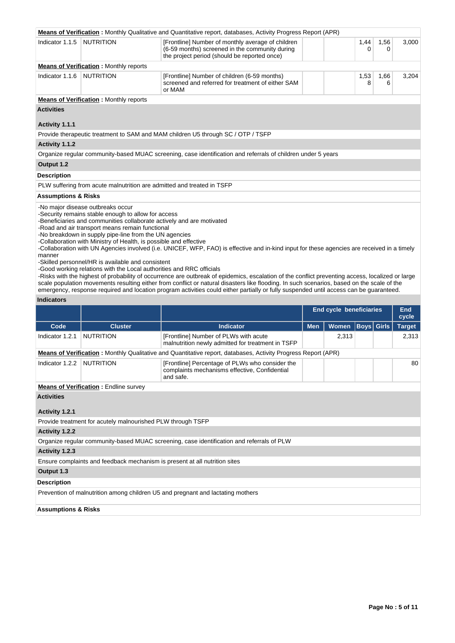|                                |                                                                                                                                                                                                                                                                                                                                                     | <b>Means of Verification</b> : Monthly Qualitative and Quantitative report, databases, Activity Progress Report (APR)                                                                                                                                                                                                                                                                                                                    |            |                                |                   |           |                        |
|--------------------------------|-----------------------------------------------------------------------------------------------------------------------------------------------------------------------------------------------------------------------------------------------------------------------------------------------------------------------------------------------------|------------------------------------------------------------------------------------------------------------------------------------------------------------------------------------------------------------------------------------------------------------------------------------------------------------------------------------------------------------------------------------------------------------------------------------------|------------|--------------------------------|-------------------|-----------|------------------------|
| Indicator 1.1.5                | <b>NUTRITION</b>                                                                                                                                                                                                                                                                                                                                    | [Frontline] Number of monthly average of children<br>(6-59 months) screened in the community during<br>the project period (should be reported once)                                                                                                                                                                                                                                                                                      |            |                                | 1,44<br>0         | 1,56<br>0 | 3,000                  |
|                                | <b>Means of Verification:</b> Monthly reports                                                                                                                                                                                                                                                                                                       |                                                                                                                                                                                                                                                                                                                                                                                                                                          |            |                                |                   |           |                        |
| Indicator 1.1.6                | <b>NUTRITION</b>                                                                                                                                                                                                                                                                                                                                    | [Frontline] Number of children (6-59 months)<br>screened and referred for treatment of either SAM<br>or MAM                                                                                                                                                                                                                                                                                                                              |            |                                | 1,53<br>8         | 1,66<br>6 | 3,204                  |
|                                | <b>Means of Verification:</b> Monthly reports                                                                                                                                                                                                                                                                                                       |                                                                                                                                                                                                                                                                                                                                                                                                                                          |            |                                |                   |           |                        |
| <b>Activities</b>              |                                                                                                                                                                                                                                                                                                                                                     |                                                                                                                                                                                                                                                                                                                                                                                                                                          |            |                                |                   |           |                        |
| Activity 1.1.1                 |                                                                                                                                                                                                                                                                                                                                                     |                                                                                                                                                                                                                                                                                                                                                                                                                                          |            |                                |                   |           |                        |
|                                |                                                                                                                                                                                                                                                                                                                                                     | Provide therapeutic treatment to SAM and MAM children U5 through SC / OTP / TSFP                                                                                                                                                                                                                                                                                                                                                         |            |                                |                   |           |                        |
| Activity 1.1.2                 |                                                                                                                                                                                                                                                                                                                                                     |                                                                                                                                                                                                                                                                                                                                                                                                                                          |            |                                |                   |           |                        |
|                                |                                                                                                                                                                                                                                                                                                                                                     | Organize regular community-based MUAC screening, case identification and referrals of children under 5 years                                                                                                                                                                                                                                                                                                                             |            |                                |                   |           |                        |
| Output 1.2                     |                                                                                                                                                                                                                                                                                                                                                     |                                                                                                                                                                                                                                                                                                                                                                                                                                          |            |                                |                   |           |                        |
| <b>Description</b>             |                                                                                                                                                                                                                                                                                                                                                     |                                                                                                                                                                                                                                                                                                                                                                                                                                          |            |                                |                   |           |                        |
|                                | PLW suffering from acute malnutrition are admitted and treated in TSFP                                                                                                                                                                                                                                                                              |                                                                                                                                                                                                                                                                                                                                                                                                                                          |            |                                |                   |           |                        |
| <b>Assumptions &amp; Risks</b> |                                                                                                                                                                                                                                                                                                                                                     |                                                                                                                                                                                                                                                                                                                                                                                                                                          |            |                                |                   |           |                        |
| manner                         | -No major disease outbreaks occur<br>-Security remains stable enough to allow for access<br>-Beneficiaries and communities collaborate actively and are motivated<br>-Road and air transport means remain functional<br>-No breakdown in supply pipe-line from the UN agencies<br>-Collaboration with Ministry of Health, is possible and effective | -Collaboration with UN Agencies involved (i.e. UNICEF, WFP, FAO) is effective and in-kind input for these agencies are received in a timely                                                                                                                                                                                                                                                                                              |            |                                |                   |           |                        |
|                                | -Skilled personnel/HR is available and consistent<br>-Good working relations with the Local authorities and RRC officials                                                                                                                                                                                                                           | -Risks with the highest of probability of occurrence are outbreak of epidemics, escalation of the conflict preventing access, localized or large<br>scale population movements resulting either from conflict or natural disasters like flooding. In such scenarios, based on the scale of the<br>emergency, response required and location program activities could either partially or fully suspended until access can be guaranteed. |            |                                |                   |           |                        |
| <b>Indicators</b>              |                                                                                                                                                                                                                                                                                                                                                     |                                                                                                                                                                                                                                                                                                                                                                                                                                          |            |                                |                   |           |                        |
|                                |                                                                                                                                                                                                                                                                                                                                                     |                                                                                                                                                                                                                                                                                                                                                                                                                                          |            | <b>End cycle beneficiaries</b> |                   |           | <b>End</b>             |
| Code                           | <b>Cluster</b>                                                                                                                                                                                                                                                                                                                                      | <b>Indicator</b>                                                                                                                                                                                                                                                                                                                                                                                                                         |            | Women                          |                   |           | cycle                  |
| Indicator 1.2.1                | <b>NUTRITION</b>                                                                                                                                                                                                                                                                                                                                    | [Frontline] Number of PLWs with acute<br>malnutrition newly admitted for treatment in TSFP                                                                                                                                                                                                                                                                                                                                               | <b>Men</b> | 2,313                          | <b>Boys</b> Girls |           | <b>Target</b><br>2,313 |
|                                |                                                                                                                                                                                                                                                                                                                                                     | <b>Means of Verification</b> : Monthly Qualitative and Quantitative report, databases, Activity Progress Report (APR)                                                                                                                                                                                                                                                                                                                    |            |                                |                   |           |                        |
| Indicator 1.2.2 NUTRITION      |                                                                                                                                                                                                                                                                                                                                                     | [Frontline] Percentage of PLWs who consider the<br>complaints mechanisms effective, Confidential<br>and safe.                                                                                                                                                                                                                                                                                                                            |            |                                |                   |           | 80                     |
|                                | <b>Means of Verification:</b> Endline survey                                                                                                                                                                                                                                                                                                        |                                                                                                                                                                                                                                                                                                                                                                                                                                          |            |                                |                   |           |                        |
| <b>Activities</b>              |                                                                                                                                                                                                                                                                                                                                                     |                                                                                                                                                                                                                                                                                                                                                                                                                                          |            |                                |                   |           |                        |
| Activity 1.2.1                 |                                                                                                                                                                                                                                                                                                                                                     |                                                                                                                                                                                                                                                                                                                                                                                                                                          |            |                                |                   |           |                        |
|                                | Provide treatment for acutely malnourished PLW through TSFP                                                                                                                                                                                                                                                                                         |                                                                                                                                                                                                                                                                                                                                                                                                                                          |            |                                |                   |           |                        |
| <b>Activity 1.2.2</b>          |                                                                                                                                                                                                                                                                                                                                                     |                                                                                                                                                                                                                                                                                                                                                                                                                                          |            |                                |                   |           |                        |
|                                |                                                                                                                                                                                                                                                                                                                                                     | Organize regular community-based MUAC screening, case identification and referrals of PLW                                                                                                                                                                                                                                                                                                                                                |            |                                |                   |           |                        |
| Activity 1.2.3                 |                                                                                                                                                                                                                                                                                                                                                     |                                                                                                                                                                                                                                                                                                                                                                                                                                          |            |                                |                   |           |                        |
|                                |                                                                                                                                                                                                                                                                                                                                                     | Ensure complaints and feedback mechanism is present at all nutrition sites                                                                                                                                                                                                                                                                                                                                                               |            |                                |                   |           |                        |
| Output 1.3                     |                                                                                                                                                                                                                                                                                                                                                     |                                                                                                                                                                                                                                                                                                                                                                                                                                          |            |                                |                   |           |                        |
| <b>Description</b>             |                                                                                                                                                                                                                                                                                                                                                     |                                                                                                                                                                                                                                                                                                                                                                                                                                          |            |                                |                   |           |                        |
|                                |                                                                                                                                                                                                                                                                                                                                                     | Prevention of malnutrition among children U5 and pregnant and lactating mothers                                                                                                                                                                                                                                                                                                                                                          |            |                                |                   |           |                        |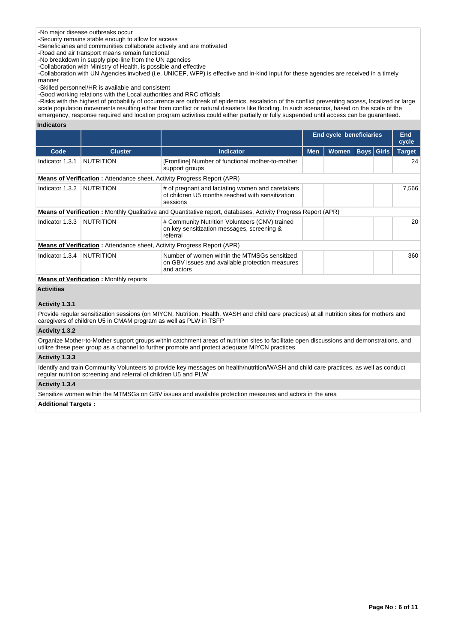# -No major disease outbreaks occur

-Security remains stable enough to allow for access

-Beneficiaries and communities collaborate actively and are motivated

-Road and air transport means remain functional

-No breakdown in supply pipe-line from the UN agencies

-Collaboration with Ministry of Health, is possible and effective

-Collaboration with UN Agencies involved (i.e. UNICEF, WFP) is effective and in-kind input for these agencies are received in a timely manner

-Skilled personnel/HR is available and consistent

-Good working relations with the Local authorities and RRC officials

-Risks with the highest of probability of occurrence are outbreak of epidemics, escalation of the conflict preventing access, localized or large scale population movements resulting either from conflict or natural disasters like flooding. In such scenarios, based on the scale of the emergency, response required and location program activities could either partially or fully suspended until access can be guaranteed.

## **Indicators**

|                   |                                                                                |                                                                                                                                                                                                                                            | <b>End cycle beneficiaries</b> |              |  | <b>End</b><br>cycle |               |
|-------------------|--------------------------------------------------------------------------------|--------------------------------------------------------------------------------------------------------------------------------------------------------------------------------------------------------------------------------------------|--------------------------------|--------------|--|---------------------|---------------|
| Code              | <b>Cluster</b>                                                                 | <b>Indicator</b>                                                                                                                                                                                                                           | <b>Men</b>                     | <b>Women</b> |  | <b>Boys</b> Girls   | <b>Target</b> |
| Indicator 1.3.1   | <b>NUTRITION</b>                                                               | [Frontline] Number of functional mother-to-mother<br>support groups                                                                                                                                                                        |                                |              |  |                     | 24            |
|                   | <b>Means of Verification: Attendance sheet, Activity Progress Report (APR)</b> |                                                                                                                                                                                                                                            |                                |              |  |                     |               |
| Indicator 1.3.2   | <b>NUTRITION</b>                                                               | # of pregnant and lactating women and caretakers<br>of children U5 months reached with sensitization<br>sessions                                                                                                                           |                                |              |  |                     | 7,566         |
|                   |                                                                                | <b>Means of Verification:</b> Monthly Qualitative and Quantitative report, databases, Activity Progress Report (APR)                                                                                                                       |                                |              |  |                     |               |
| Indicator 1.3.3   | <b>NUTRITION</b>                                                               | # Community Nutrition Volunteers (CNV) trained<br>on key sensitization messages, screening &<br>referral                                                                                                                                   |                                |              |  |                     | 20            |
|                   | <b>Means of Verification: Attendance sheet, Activity Progress Report (APR)</b> |                                                                                                                                                                                                                                            |                                |              |  |                     |               |
| Indicator 1.3.4   | <b>NUTRITION</b>                                                               | Number of women within the MTMSGs sensitized<br>on GBV issues and available protection measures<br>and actors                                                                                                                              |                                |              |  |                     | 360           |
|                   | <b>Means of Verification:</b> Monthly reports                                  |                                                                                                                                                                                                                                            |                                |              |  |                     |               |
| <b>Activities</b> |                                                                                |                                                                                                                                                                                                                                            |                                |              |  |                     |               |
| Activity 1.3.1    |                                                                                |                                                                                                                                                                                                                                            |                                |              |  |                     |               |
|                   | caregivers of children U5 in CMAM program as well as PLW in TSFP               | Provide regular sensitization sessions (on MIYCN, Nutrition, Health, WASH and child care practices) at all nutrition sites for mothers and                                                                                                 |                                |              |  |                     |               |
| Activity 1.3.2    |                                                                                |                                                                                                                                                                                                                                            |                                |              |  |                     |               |
|                   |                                                                                | Organize Mother-to-Mother support groups within catchment areas of nutrition sites to facilitate open discussions and demonstrations, and<br>utilize these peer group as a channel to further promote and protect adequate MIYCN practices |                                |              |  |                     |               |
| Activity 1.3.3    |                                                                                |                                                                                                                                                                                                                                            |                                |              |  |                     |               |
|                   | regular nutrition screening and referral of children U5 and PLW                | Identify and train Community Volunteers to provide key messages on health/nutrition/WASH and child care practices, as well as conduct                                                                                                      |                                |              |  |                     |               |

**Activity 1.3.4** 

Sensitize women within the MTMSGs on GBV issues and available protection measures and actors in the area

## **Additional Targets :**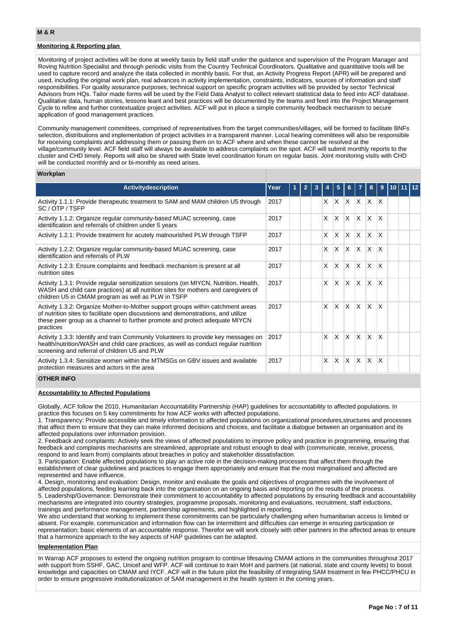# **Monitoring & Reporting plan**

Monitoring of project activities will be done at weekly basis by field staff under the guidance and supervision of the Program Manager and Roving Nutrition Specialist and through periodic visits from the Country Technical Coordinators. Qualitative and quantitative tools will be used to capture record and analyze the data collected in monthly basis. For that, an Activity Progress Report (APR) will be prepared and used, including the original work plan, real advances in activity implementation, constraints, indicators, sources of information and staff responsibilities. For quality assurance purposes, technical support on specific program activities will be provided by sector Technical Advisors from HQs. Tailor made forms will be used by the Field Data Analyst to collect relevant statistical data to feed into ACF database. Qualitative data, human stories, lessons leant and best practices will be documented by the teams and feed into the Project Management Cycle to refine and further contextualize project activities. ACF will put in place a simple community feedback mechanism to secure application of good management practices.

Community management committees, comprised of representatives from the target communities/villages, will be formed to facilitate BNFs selection, distributions and implementation of project activities in a transparent manner. Local hearing committees will also be responsible for receiving complaints and addressing them or passing them on to ACF where and when these cannot be resolved at the village/community level. ACF field staff will always be available to address complaints on the spot. ACF will submit monthly reports to the cluster and CHD timely. Reports will also be shared with State level coordination forum on regular basis. Joint monitoring visits with CHD will be conducted monthly and or bi-monthly as need arises.

#### **Workplan**

| <b>Activitydescription</b>                                                                                                                                                                                                                                       | Year |  |    | 5            |                         |              | 8            | 9            |  |  |
|------------------------------------------------------------------------------------------------------------------------------------------------------------------------------------------------------------------------------------------------------------------|------|--|----|--------------|-------------------------|--------------|--------------|--------------|--|--|
| Activity 1.1.1: Provide therapeutic treatment to SAM and MAM children U5 through<br>SC/OTP/TSFP                                                                                                                                                                  | 2017 |  | X. | <b>X</b>     | ΙX.                     | $X \times X$ |              |              |  |  |
| Activity 1.1.2: Organize regular community-based MUAC screening, case<br>identification and referrals of children under 5 years                                                                                                                                  | 2017 |  | X  | $\mathsf{x}$ | IX.                     | ΙX.          | ΙX.          | X            |  |  |
| Activity 1.2.1: Provide treatment for acutely malnourished PLW through TSFP                                                                                                                                                                                      | 2017 |  | X  | X            | X                       | <sup>X</sup> | ΙX.          | X            |  |  |
| Activity 1.2.2: Organize regular community-based MUAC screening, case<br>identification and referrals of PLW                                                                                                                                                     | 2017 |  | X  | $\times$     | ΙX.                     | ΙX.          | $\mathsf{X}$ | $\mathsf{x}$ |  |  |
| Activity 1.2.3: Ensure complaints and feedback mechanism is present at all<br>nutrition sites                                                                                                                                                                    | 2017 |  | X  | X            | X                       | ΙX           | X            | X            |  |  |
| Activity 1.3.1: Provide regular sensitization sessions (on MIYCN, Nutrition, Health,<br>WASH and child care practices) at all nutrition sites for mothers and caregivers of<br>children U5 in CMAM program as well as PLW in TSFP                                | 2017 |  | X  | $\mathsf{x}$ | IX.                     | ΙX.          | $\mathsf{X}$ | $\mathsf{x}$ |  |  |
| Activity 1.3.2: Organize Mother-to-Mother support groups within catchment areas<br>of nutrition sites to facilitate open discussions and demonstrations, and utilize<br>these peer group as a channel to further promote and protect adequate MIYCN<br>practices | 2017 |  | X  | $\mathsf{x}$ | $\overline{\mathsf{x}}$ | ΙX.          | $\times$     | $\mathsf{x}$ |  |  |
| Activity 1.3.3: Identify and train Community Volunteers to provide key messages on<br>health/nutrition/WASH and child care practices, as well as conduct regular nutrition<br>screening and referral of children U5 and PLW                                      | 2017 |  | X  | $\mathsf{x}$ | $\mathsf{X}$            | X            | X.           | $\mathsf{x}$ |  |  |
| Activity 1.3.4: Sensitize women within the MTMSGs on GBV issues and available<br>protection measures and actors in the area                                                                                                                                      | 2017 |  | X  | X            | X                       | ΙX           | ΙX.          | X            |  |  |

### **OTHER INFO**

## **Accountability to Affected Populations**

Globally, ACF follow the 2010, Humanitarian Accountability Partnership (HAP) guidelines for accountability to affected populations. In practice this focuses on 5 key commitments for how ACF works with affected populations.

1. Transparency: Provide accessible and timely information to affected populations on organizational procedures,structures and processes that affect them to ensure that they can make informed decisions and choices, and facilitate a dialogue between an organisation and its affected populations over information provision.

2. Feedback and complaints: Actively seek the views of affected populations to improve policy and practice in programming, ensuring that feedback and complaints mechanisms are streamlined, appropriate and robust enough to deal with (communicate, receive, process, respond to and learn from) complaints about breaches in policy and stakeholder dissatisfaction.

3. Participation: Enable affected populations to play an active role in the decision-making processes that affect them through the establishment of clear guidelines and practices to engage them appropriately and ensure that the most marginalised and affected are represented and have influence.

4. Design, monitoring and evaluation: Design, monitor and evaluate the goals and objectives of programmes with the involvement of affected populations, feeding learning back into the organisation on an ongoing basis and reporting on the results of the process. 5. Leadership/Governance: Demonstrate their commitment to accountability to affected populations by ensuring feedback and accountability mechanisms are integrated into country strategies, programme proposals, monitoring and evaluations, recruitment, staff inductions, trainings and performance management, partnership agreements, and highlighted in reporting.

We also understand that working to implement these commitments can be particularly challenging when humanitarian access is limited or absent. For example, communication and information flow can be intermittent and difficulties can emerge in ensuring participation or representation; basic elements of an accountable response. Therefor we will work closely with other partners in the affected areas to ensure that a harmonize approach to the key aspects of HAP guidelines can be adapted.

#### **Implementation Plan**

In Warrap ACF proposes to extend the ongoing nutrition program to continue lifesaving CMAM actions in the communities throughout 2017 with support from SSHF, GAC, Unicef and WFP. ACF will continue to train MoH and partners (at national, state and county levels) to boost knowledge and capacities on CMAM and IYCF. ACF will in the future pilot the feasibility of integrating SAM treatment in few PHCC/PHCU in order to ensure progressive institutionalization of SAM management in the health system in the coming years.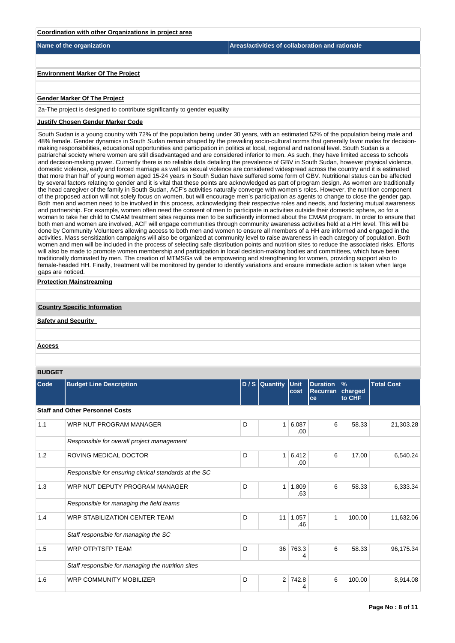| Coordination with other Organizations in project area                                                                                                                                                                                                                                                                                                                                                                                                                                                                                                                          |                                                                                                                                                                                                                                                                                                                                                                                                                                                                                                                                                                                                                                                                                                                                                                                                                                                                                                                                                                                                                                                                                                                                                                                                                                                                                                                                                                                                                                                                                                                                                                                                                                                                                                                                                                                                                                                                                                                                                                                                                                                                                                                                                                                   |
|--------------------------------------------------------------------------------------------------------------------------------------------------------------------------------------------------------------------------------------------------------------------------------------------------------------------------------------------------------------------------------------------------------------------------------------------------------------------------------------------------------------------------------------------------------------------------------|-----------------------------------------------------------------------------------------------------------------------------------------------------------------------------------------------------------------------------------------------------------------------------------------------------------------------------------------------------------------------------------------------------------------------------------------------------------------------------------------------------------------------------------------------------------------------------------------------------------------------------------------------------------------------------------------------------------------------------------------------------------------------------------------------------------------------------------------------------------------------------------------------------------------------------------------------------------------------------------------------------------------------------------------------------------------------------------------------------------------------------------------------------------------------------------------------------------------------------------------------------------------------------------------------------------------------------------------------------------------------------------------------------------------------------------------------------------------------------------------------------------------------------------------------------------------------------------------------------------------------------------------------------------------------------------------------------------------------------------------------------------------------------------------------------------------------------------------------------------------------------------------------------------------------------------------------------------------------------------------------------------------------------------------------------------------------------------------------------------------------------------------------------------------------------------|
| Name of the organization                                                                                                                                                                                                                                                                                                                                                                                                                                                                                                                                                       | Areas/activities of collaboration and rationale                                                                                                                                                                                                                                                                                                                                                                                                                                                                                                                                                                                                                                                                                                                                                                                                                                                                                                                                                                                                                                                                                                                                                                                                                                                                                                                                                                                                                                                                                                                                                                                                                                                                                                                                                                                                                                                                                                                                                                                                                                                                                                                                   |
|                                                                                                                                                                                                                                                                                                                                                                                                                                                                                                                                                                                |                                                                                                                                                                                                                                                                                                                                                                                                                                                                                                                                                                                                                                                                                                                                                                                                                                                                                                                                                                                                                                                                                                                                                                                                                                                                                                                                                                                                                                                                                                                                                                                                                                                                                                                                                                                                                                                                                                                                                                                                                                                                                                                                                                                   |
| <b>Environment Marker Of The Project</b>                                                                                                                                                                                                                                                                                                                                                                                                                                                                                                                                       |                                                                                                                                                                                                                                                                                                                                                                                                                                                                                                                                                                                                                                                                                                                                                                                                                                                                                                                                                                                                                                                                                                                                                                                                                                                                                                                                                                                                                                                                                                                                                                                                                                                                                                                                                                                                                                                                                                                                                                                                                                                                                                                                                                                   |
| <b>Gender Marker Of The Project</b>                                                                                                                                                                                                                                                                                                                                                                                                                                                                                                                                            |                                                                                                                                                                                                                                                                                                                                                                                                                                                                                                                                                                                                                                                                                                                                                                                                                                                                                                                                                                                                                                                                                                                                                                                                                                                                                                                                                                                                                                                                                                                                                                                                                                                                                                                                                                                                                                                                                                                                                                                                                                                                                                                                                                                   |
| 2a-The project is designed to contribute significantly to gender equality                                                                                                                                                                                                                                                                                                                                                                                                                                                                                                      |                                                                                                                                                                                                                                                                                                                                                                                                                                                                                                                                                                                                                                                                                                                                                                                                                                                                                                                                                                                                                                                                                                                                                                                                                                                                                                                                                                                                                                                                                                                                                                                                                                                                                                                                                                                                                                                                                                                                                                                                                                                                                                                                                                                   |
| <b>Justify Chosen Gender Marker Code</b>                                                                                                                                                                                                                                                                                                                                                                                                                                                                                                                                       |                                                                                                                                                                                                                                                                                                                                                                                                                                                                                                                                                                                                                                                                                                                                                                                                                                                                                                                                                                                                                                                                                                                                                                                                                                                                                                                                                                                                                                                                                                                                                                                                                                                                                                                                                                                                                                                                                                                                                                                                                                                                                                                                                                                   |
| making responsibilities, educational opportunities and participation in politics at local, regional and national level. South Sudan is a<br>and partnership. For example, women often need the consent of men to participate in activities outside their domestic sphere, so for a<br>will also be made to promote women membership and participation in local decision-making bodies and committees, which have been<br>traditionally dominated by men. The creation of MTMSGs will be empowering and strengthening for women, providing support also to<br>gaps are noticed. | 48% female. Gender dynamics in South Sudan remain shaped by the prevailing socio-cultural norms that generally favor males for decision-<br>patriarchal society where women are still disadvantaged and are considered inferior to men. As such, they have limited access to schools<br>and decision-making power. Currently there is no reliable data detailing the prevalence of GBV in South Sudan, however physical violence,<br>domestic violence, early and forced marriage as well as sexual violence are considered widespread across the country and it is estimated<br>that more than half of young women aged 15-24 years in South Sudan have suffered some form of GBV. Nutritional status can be affected<br>by several factors relating to gender and it is vital that these points are acknowledged as part of program design. As women are traditionally<br>the head caregiver of the family in South Sudan, ACF's activities naturally converge with women's roles. However, the nutrition component<br>of the proposed action will not solely focus on women, but will encourage men's participation as agents to change to close the gender gap.<br>Both men and women need to be involved in this process, acknowledging their respective roles and needs, and fostering mutual awareness<br>woman to take her child to CMAM treatment sites requires men to be sufficiently informed about the CMAM program. In order to ensure that<br>both men and women are involved, ACF will engage communities through community awareness activities held at a HH level. This will be<br>done by Community Volunteers allowing access to both men and women to ensure all members of a HH are informed and engaged in the<br>activities. Mass sensitization campaigns will also be organized at community level to raise awareness in each category of population. Both<br>women and men will be included in the process of selecting safe distribution points and nutrition sites to reduce the associated risks. Efforts<br>female-headed HH. Finally, treatment will be monitored by gender to identify variations and ensure immediate action is taken when large |

**Protection Mainstreaming**

**Country Specific Information**

**Safety and Security** 

**Access**

**BUDGET**

| Code | <b>Budget Line Description</b>                        |   | D / S Quantity Unit | cost                   | <b>Duration</b><br><b>Recurran</b><br>ce | $\frac{9}{6}$<br>charged<br>to CHF | <b>Total Cost</b> |
|------|-------------------------------------------------------|---|---------------------|------------------------|------------------------------------------|------------------------------------|-------------------|
|      | <b>Staff and Other Personnel Costs</b>                |   |                     |                        |                                          |                                    |                   |
| 1.1  | WRP NUT PROGRAM MANAGER                               | D | $\mathbf{1}$        | 6,087<br>.00           | 6                                        | 58.33                              | 21,303.28         |
|      | Responsible for overall project management            |   |                     |                        |                                          |                                    |                   |
| 1.2  | ROVING MEDICAL DOCTOR                                 | D | 1 <sup>1</sup>      | 6,412<br>.00           | 6                                        | 17.00                              | 6,540.24          |
|      | Responsible for ensuring clinical standards at the SC |   |                     |                        |                                          |                                    |                   |
| 1.3  | WRP NUT DEPUTY PROGRAM MANAGER                        | D | 1 <sup>1</sup>      | 1,809<br>.63           | 6                                        | 58.33                              | 6,333.34          |
|      | Responsible for managing the field teams              |   |                     |                        |                                          |                                    |                   |
| 1.4  | <b>WRP STABILIZATION CENTER TEAM</b>                  | D |                     | $11 \mid 1,057$<br>.46 | 1                                        | 100.00                             | 11,632.06         |
|      | Staff responsible for managing the SC                 |   |                     |                        |                                          |                                    |                   |
| 1.5  | <b>WRP OTP/TSFP TEAM</b>                              | D | 36                  | 763.3<br>4             | 6                                        | 58.33                              | 96,175.34         |
|      | Staff responsible for managing the nutrition sites    |   |                     |                        |                                          |                                    |                   |
| 1.6  | <b>WRP COMMUNITY MOBILIZER</b>                        | D | $\overline{2}$      | 742.8<br>4             | 6                                        | 100.00                             | 8.914.08          |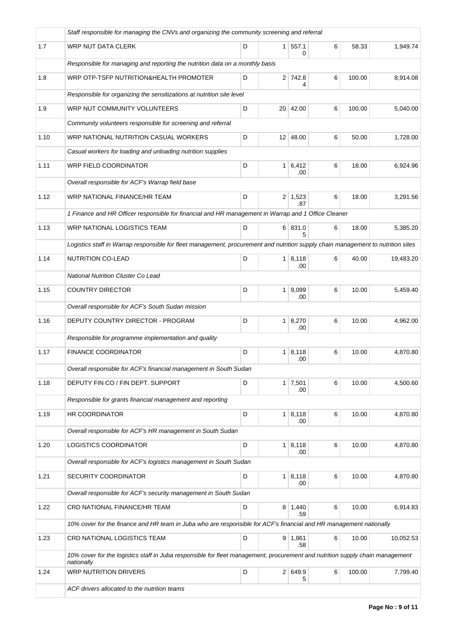|      | Staff responsible for managing the CNVs and organizing the community screening and referral                                                 |   |                 |                       |   |        |           |  |  |  |
|------|---------------------------------------------------------------------------------------------------------------------------------------------|---|-----------------|-----------------------|---|--------|-----------|--|--|--|
| 1.7  | WRP NUT DATA CLERK                                                                                                                          | D | 1 <sup>1</sup>  | 557.1<br>0            | 6 | 58.33  | 1,949.74  |  |  |  |
|      | Responsible for managing and reporting the nutrition data on a monthly basis                                                                |   |                 |                       |   |        |           |  |  |  |
| 1.8  | WRP OTP-TSFP NUTRITION&HEALTH PROMOTER                                                                                                      | D |                 | 2 742.8<br>4          | 6 | 100.00 | 8,914.08  |  |  |  |
|      | Responsible for organizing the sensitizations at nutrition site level                                                                       |   |                 |                       |   |        |           |  |  |  |
| 1.9  | WRP NUT COMMUNITY VOLUNTEERS                                                                                                                | D | 20 <sup>1</sup> | 42.00                 | 6 | 100.00 | 5,040.00  |  |  |  |
|      | Community volunteers responsible for screening and referral                                                                                 |   |                 |                       |   |        |           |  |  |  |
| 1.10 | WRP NATIONAL NUTRITION CASUAL WORKERS                                                                                                       | D |                 | $12 \mid 48.00$       | 6 | 50.00  | 1,728.00  |  |  |  |
|      | Casual workers for loading and unloading nutrition supplies                                                                                 |   |                 |                       |   |        |           |  |  |  |
| 1.11 | WRP FIELD COORDINATOR                                                                                                                       | D |                 | $1 \mid 6,412$<br>.00 | 6 | 18.00  | 6,924.96  |  |  |  |
|      | Overall responsible for ACF's Warrap field base                                                                                             |   |                 |                       |   |        |           |  |  |  |
| 1.12 | WRP NATIONAL FINANCE/HR TEAM                                                                                                                | D |                 | $2 \mid 1,523$<br>.87 | 6 | 18.00  | 3,291.56  |  |  |  |
|      | 1 Finance and HR Officer responsible for financial and HR management in Warrap and 1 Office Cleaner                                         |   |                 |                       |   |        |           |  |  |  |
| 1.13 | <b>WRP NATIONAL LOGISTICS TEAM</b>                                                                                                          | D |                 | 6 831.0<br>5.         | 6 | 18.00  | 5,385.20  |  |  |  |
|      | Logistics staff in Warrap responsible for fleet management, procurement and nutrition supply chain management to nutrition sites            |   |                 |                       |   |        |           |  |  |  |
| 1.14 | NUTRITION CO-LEAD                                                                                                                           | D | 1 <sup>1</sup>  | 8,118<br>.00          | 6 | 40.00  | 19,483.20 |  |  |  |
|      | <b>National Nutrition Cluster Co Lead</b>                                                                                                   |   |                 |                       |   |        |           |  |  |  |
| 1.15 | <b>COUNTRY DIRECTOR</b>                                                                                                                     | D | 1 <sup>1</sup>  | 9,099<br>.00          | 6 | 10.00  | 5,459.40  |  |  |  |
|      | Overall responsible for ACF's South Sudan mission                                                                                           |   |                 |                       |   |        |           |  |  |  |
| 1.16 | DEPUTY COUNTRY DIRECTOR - PROGRAM                                                                                                           | D |                 | $1 \mid 8,270$<br>.00 | 6 | 10.00  | 4,962.00  |  |  |  |
|      | Responsible for programme implementation and quality                                                                                        |   |                 |                       |   |        |           |  |  |  |
| 1.17 | <b>FINANCE COORDINATOR</b>                                                                                                                  | D | 1 <sup>1</sup>  | 8,118<br>.00          | 6 | 10.00  | 4,870.80  |  |  |  |
|      | Overall responsible for ACF's financial management in South Sudan                                                                           |   |                 |                       |   |        |           |  |  |  |
| 1.18 | DEPUTY FIN CO / FIN DEPT. SUPPORT                                                                                                           | D |                 | $1 \mid 7,501$<br>.00 | 6 | 10.00  | 4,500.60  |  |  |  |
|      | Responsible for grants financial management and reporting                                                                                   |   |                 |                       |   |        |           |  |  |  |
| 1.19 | HR COORDINATOR                                                                                                                              | D | 1 <sup>1</sup>  | 8,118                 | 6 | 10.00  | 4.870.80  |  |  |  |
|      | Overall responsible for ACF's HR management in South Sudan                                                                                  |   |                 | .00                   |   |        |           |  |  |  |
| 1.20 | LOGISTICS COORDINATOR                                                                                                                       | D |                 | $1 \mid 8,118$        | 6 | 10.00  | 4,870.80  |  |  |  |
|      | Overall responsible for ACF's logistics management in South Sudan                                                                           |   |                 | .00                   |   |        |           |  |  |  |
| 1.21 | SECURITY COORDINATOR                                                                                                                        | D |                 | $1 \mid 8,118$        | 6 | 10.00  | 4,870.80  |  |  |  |
|      | Overall responsible for ACF's security management in South Sudan                                                                            |   |                 | .00                   |   |        |           |  |  |  |
| 1.22 | CRD NATIONAL FINANCE/HR TEAM                                                                                                                | D |                 | $8 \mid 1,440$        | 6 | 10.00  | 6,914.83  |  |  |  |
|      | 10% cover for the finance and HR team in Juba who are responsible for ACF's financial and HR management nationally                          |   |                 | .59                   |   |        |           |  |  |  |
|      |                                                                                                                                             |   |                 |                       |   |        |           |  |  |  |
| 1.23 | CRD NATIONAL LOGISTICS TEAM                                                                                                                 | D | 9               | 1,861<br>.58          | 6 | 10.00  | 10,052.53 |  |  |  |
|      | 10% cover for the logistics staff in Juba responsible for fleet management, procurement and nutrition supply chain management<br>nationally |   |                 |                       |   |        |           |  |  |  |
| 1.24 | <b>WRP NUTRITION DRIVERS</b>                                                                                                                | D |                 | 2 649.9<br>5          | 6 | 100.00 | 7,799.40  |  |  |  |
|      | ACF drivers allocated to the nutrition teams                                                                                                |   |                 |                       |   |        |           |  |  |  |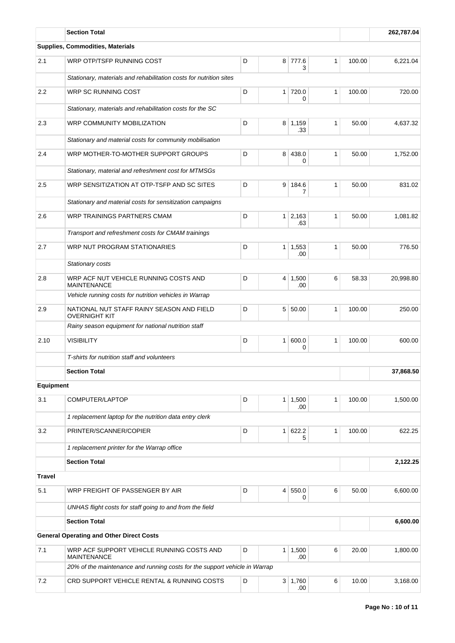|                  | <b>Section Total</b>                                                       |   | 262,787.04     |                        |              |        |           |  |  |  |
|------------------|----------------------------------------------------------------------------|---|----------------|------------------------|--------------|--------|-----------|--|--|--|
|                  | Supplies, Commodities, Materials                                           |   |                |                        |              |        |           |  |  |  |
| 2.1              | WRP OTP/TSFP RUNNING COST                                                  | D | 8              | 777.6<br>3             | $\mathbf{1}$ | 100.00 | 6,221.04  |  |  |  |
|                  | Stationary, materials and rehabilitation costs for nutrition sites         |   |                |                        |              |        |           |  |  |  |
| 2.2              | WRP SC RUNNING COST                                                        | D | $\mathbf{1}$   | 720.0<br>0             | $\mathbf{1}$ | 100.00 | 720.00    |  |  |  |
|                  | Stationary, materials and rehabilitation costs for the SC                  |   |                |                        |              |        |           |  |  |  |
| 2.3              | D<br>$8 \mid 1,159$<br>$\mathbf{1}$<br>WRP COMMUNITY MOBILIZATION<br>.33   |   |                |                        |              | 50.00  | 4.637.32  |  |  |  |
|                  | Stationary and material costs for community mobilisation                   |   |                |                        |              |        |           |  |  |  |
| 2.4              | WRP MOTHER-TO-MOTHER SUPPORT GROUPS                                        | D | 8              | 438.0<br>0             | $\mathbf{1}$ | 50.00  | 1,752.00  |  |  |  |
|                  | Stationary, material and refreshment cost for MTMSGs                       |   |                |                        |              |        |           |  |  |  |
| 2.5              | WRP SENSITIZATION AT OTP-TSFP AND SC SITES                                 | D | 9 <sup>°</sup> | 184.6<br>7             | $\mathbf{1}$ | 50.00  | 831.02    |  |  |  |
|                  | Stationary and material costs for sensitization campaigns                  |   |                |                        |              |        |           |  |  |  |
| 2.6              | WRP TRAININGS PARTNERS CMAM                                                | D | $\mathbf{1}$   | 2,163<br>.63           | $\mathbf{1}$ | 50.00  | 1,081.82  |  |  |  |
|                  | Transport and refreshment costs for CMAM trainings                         |   |                |                        |              |        |           |  |  |  |
| 2.7              | WRP NUT PROGRAM STATIONARIES                                               | D | $\mathbf{1}$   | 1,553<br>.00           | $\mathbf{1}$ | 50.00  | 776.50    |  |  |  |
|                  | Stationary costs                                                           |   |                |                        |              |        |           |  |  |  |
| 2.8              | WRP ACF NUT VEHICLE RUNNING COSTS AND<br><b>MAINTENANCE</b>                | D |                | $4 \mid 1,500$<br>.00  | 6            | 58.33  | 20,998.80 |  |  |  |
|                  | Vehicle running costs for nutrition vehicles in Warrap                     |   |                |                        |              |        |           |  |  |  |
| 2.9              | NATIONAL NUT STAFF RAINY SEASON AND FIELD<br><b>OVERNIGHT KIT</b>          | D | 5 <sup>1</sup> | 50.00                  | 1            | 100.00 | 250.00    |  |  |  |
|                  | Rainy season equipment for national nutrition staff                        |   |                |                        |              |        |           |  |  |  |
| 2.10             | <b>VISIBILITY</b>                                                          | D | $\mathbf{1}$   | 600.0<br>0             | $\mathbf{1}$ | 100.00 | 600.00    |  |  |  |
|                  | T-shirts for nutrition staff and volunteers                                |   |                |                        |              |        |           |  |  |  |
|                  | <b>Section Total</b>                                                       |   |                |                        |              |        | 37,868.50 |  |  |  |
| <b>Equipment</b> |                                                                            |   |                |                        |              |        |           |  |  |  |
| 3.1              | COMPUTER/LAPTOP                                                            | D | 1              | 1,500<br>.00           | $\mathbf{1}$ | 100.00 | 1,500.00  |  |  |  |
|                  | 1 replacement laptop for the nutrition data entry clerk                    |   |                |                        |              |        |           |  |  |  |
| 3.2              | PRINTER/SCANNER/COPIER                                                     | D | $\mathbf{1}$   | 622.2<br>5             | 1            | 100.00 | 622.25    |  |  |  |
|                  | 1 replacement printer for the Warrap office                                |   |                |                        |              |        |           |  |  |  |
|                  | <b>Section Total</b>                                                       |   |                |                        |              |        | 2,122.25  |  |  |  |
| <b>Travel</b>    |                                                                            |   |                |                        |              |        |           |  |  |  |
| 5.1              | WRP FREIGHT OF PASSENGER BY AIR                                            | D | $\overline{4}$ | 550.0<br>0             | 6            | 50.00  | 6,600.00  |  |  |  |
|                  | UNHAS flight costs for staff going to and from the field                   |   |                |                        |              |        |           |  |  |  |
|                  | <b>Section Total</b>                                                       |   |                |                        |              |        | 6,600.00  |  |  |  |
|                  | <b>General Operating and Other Direct Costs</b>                            |   |                |                        |              |        |           |  |  |  |
| 7.1              | WRP ACF SUPPORT VEHICLE RUNNING COSTS AND<br><b>MAINTENANCE</b>            | D | $\mathbf{1}$   | 1,500<br>.00           | 6            | 20.00  | 1,800.00  |  |  |  |
|                  | 20% of the maintenance and running costs for the support vehicle in Warrap |   |                |                        |              |        |           |  |  |  |
| 7.2              | CRD SUPPORT VEHICLE RENTAL & RUNNING COSTS                                 | D |                | $3 \mid 1,760$<br>.00. | 6            | 10.00  | 3,168.00  |  |  |  |